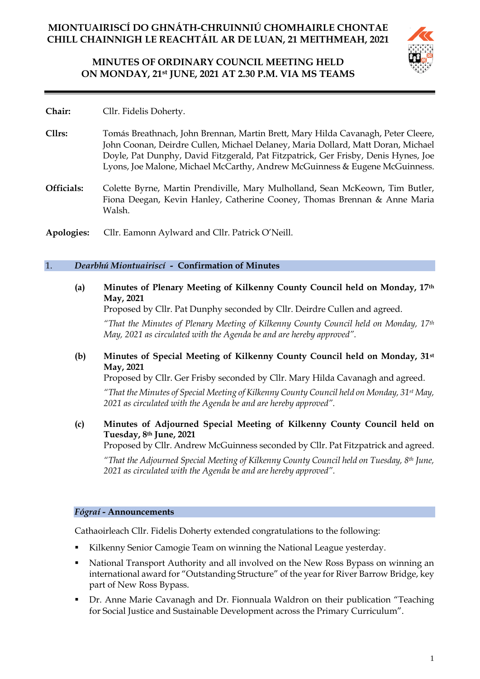# **MINUTES OF ORDINARY COUNCIL MEETING HELD ON MONDAY, 21st JUNE, 2021 AT 2.30 P.M. VIA MS TEAMS**



**Chair:** Cllr. Fidelis Doherty.

- **Cllrs:** Tomás Breathnach, John Brennan, Martin Brett, Mary Hilda Cavanagh, Peter Cleere, John Coonan, Deirdre Cullen, Michael Delaney, Maria Dollard, Matt Doran, Michael Doyle, Pat Dunphy, David Fitzgerald, Pat Fitzpatrick, Ger Frisby, Denis Hynes, Joe Lyons, Joe Malone, Michael McCarthy, Andrew McGuinness & Eugene McGuinness.
- **Officials:** Colette Byrne, Martin Prendiville, Mary Mulholland, Sean McKeown, Tim Butler, Fiona Deegan, Kevin Hanley, Catherine Cooney, Thomas Brennan & Anne Maria Walsh.
- **Apologies:** Cllr. Eamonn Aylward and Cllr. Patrick O'Neill.

#### 1. *Dearbhú Miontuairiscí -* **Confirmation of Minutes**

**(a) Minutes of Plenary Meeting of Kilkenny County Council held on Monday, 17th May, 2021**

Proposed by Cllr. Pat Dunphy seconded by Cllr. Deirdre Cullen and agreed.

*"That the Minutes of Plenary Meeting of Kilkenny County Council held on Monday, 17th May, 2021 as circulated with the Agenda be and are hereby approved".*

**(b) Minutes of Special Meeting of Kilkenny County Council held on Monday, 31st May, 2021**

Proposed by Cllr. Ger Frisby seconded by Cllr. Mary Hilda Cavanagh and agreed.

*"That the Minutes of Special Meeting of Kilkenny County Council held on Monday, 31st May, 2021 as circulated with the Agenda be and are hereby approved".*

**(c) Minutes of Adjourned Special Meeting of Kilkenny County Council held on Tuesday, 8th June, 2021**

Proposed by Cllr. Andrew McGuinness seconded by Cllr. Pat Fitzpatrick and agreed.

*"That the Adjourned Special Meeting of Kilkenny County Council held on Tuesday, 8th June, 2021 as circulated with the Agenda be and are hereby approved".*

#### *Fógraí* **- Announcements**

Cathaoirleach Cllr. Fidelis Doherty extended congratulations to the following:

- Kilkenny Senior Camogie Team on winning the National League yesterday.
- National Transport Authority and all involved on the New Ross Bypass on winning an international award for "Outstanding Structure" of the year for River Barrow Bridge, key part of New Ross Bypass.
- Dr. Anne Marie Cavanagh and Dr. Fionnuala Waldron on their publication "Teaching" for Social Justice and Sustainable Development across the Primary Curriculum".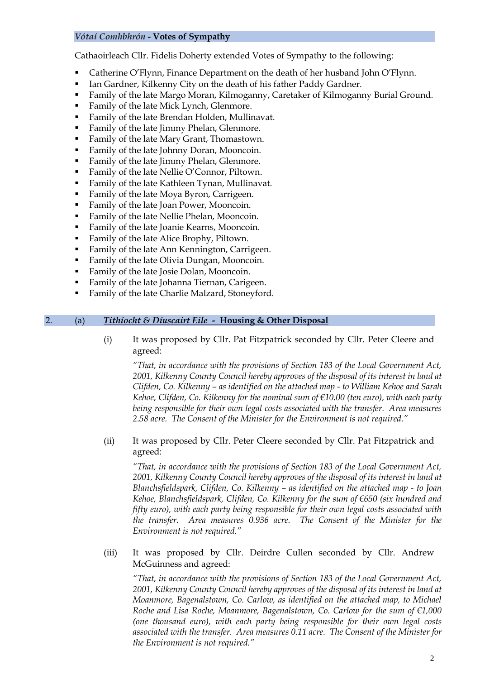## *Vótaí Comhbhrón* **- Votes of Sympathy**

Cathaoirleach Cllr. Fidelis Doherty extended Votes of Sympathy to the following:

- Catherine O'Flynn, Finance Department on the death of her husband John O'Flynn.
- Ian Gardner, Kilkenny City on the death of his father Paddy Gardner.
- Family of the late Margo Moran, Kilmoganny, Caretaker of Kilmoganny Burial Ground.
- Family of the late Mick Lynch, Glenmore.
- Family of the late Brendan Holden, Mullinavat.
- Family of the late Jimmy Phelan, Glenmore.
- Family of the late Mary Grant, Thomastown.
- Family of the late Johnny Doran, Mooncoin.
- Family of the late Jimmy Phelan, Glenmore.
- Family of the late Nellie O'Connor, Piltown.
- Family of the late Kathleen Tynan, Mullinavat.
- Family of the late Moya Byron, Carrigeen.
- Family of the late Joan Power, Mooncoin.
- **•** Family of the late Nellie Phelan, Mooncoin.
- **•** Family of the late Joanie Kearns, Mooncoin.
- Family of the late Alice Brophy, Piltown.
- Family of the late Ann Kennington, Carrigeen.
- Family of the late Olivia Dungan, Mooncoin.
- Family of the late Josie Dolan, Mooncoin.
- **•** Family of the late Johanna Tiernan, Carigeen.
- Family of the late Charlie Malzard, Stoneyford.

#### 2. (a) *Tithíocht & Díuscairt Eile -* **Housing & Other Disposal**

(i) It was proposed by Cllr. Pat Fitzpatrick seconded by Cllr. Peter Cleere and agreed:

*"That, in accordance with the provisions of Section 183 of the Local Government Act, 2001, Kilkenny County Council hereby approves of the disposal of its interest in land at Clifden, Co. Kilkenny – as identified on the attached map - to William Kehoe and Sarah Kehoe, Clifden, Co. Kilkenny for the nominal sum of €10.00 (ten euro), with each party being responsible for their own legal costs associated with the transfer. Area measures 2.58 acre. The Consent of the Minister for the Environment is not required."*

(ii) It was proposed by Cllr. Peter Cleere seconded by Cllr. Pat Fitzpatrick and agreed:

*"That, in accordance with the provisions of Section 183 of the Local Government Act, 2001, Kilkenny County Council hereby approves of the disposal of its interest in land at Blanchsfieldspark, Clifden, Co. Kilkenny – as identified on the attached map - to Joan Kehoe, Blanchsfieldspark, Clifden, Co. Kilkenny for the sum of €650 (six hundred and fifty euro), with each party being responsible for their own legal costs associated with the transfer. Area measures 0.936 acre. The Consent of the Minister for the Environment is not required."*

(iii) It was proposed by Cllr. Deirdre Cullen seconded by Cllr. Andrew McGuinness and agreed:

*"That, in accordance with the provisions of Section 183 of the Local Government Act, 2001, Kilkenny County Council hereby approves of the disposal of its interest in land at Moanmore, Bagenalstown, Co. Carlow, as identified on the attached map, to Michael Roche and Lisa Roche, Moanmore, Bagenalstown, Co. Carlow for the sum of €1,000 (one thousand euro), with each party being responsible for their own legal costs associated with the transfer. Area measures 0.11 acre. The Consent of the Minister for the Environment is not required."*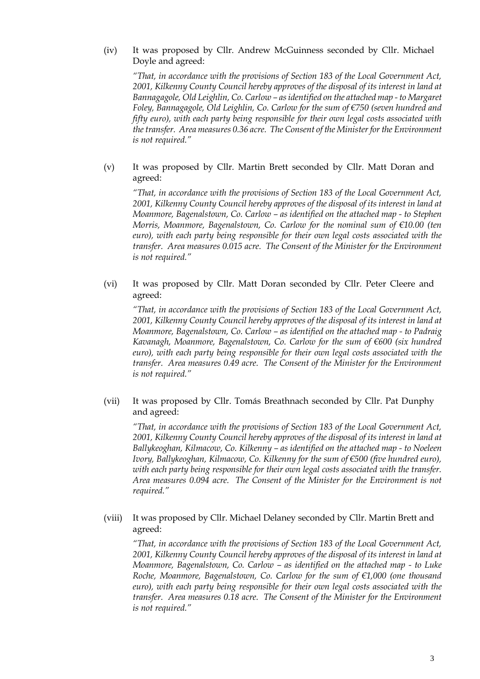(iv) It was proposed by Cllr. Andrew McGuinness seconded by Cllr. Michael Doyle and agreed:

*"That, in accordance with the provisions of Section 183 of the Local Government Act, 2001, Kilkenny County Council hereby approves of the disposal of its interest in land at Bannagagole, Old Leighlin, Co. Carlow – as identified on the attached map - to Margaret Foley, Bannagagole, Old Leighlin, Co. Carlow for the sum of €750 (seven hundred and fifty euro), with each party being responsible for their own legal costs associated with the transfer. Area measures 0.36 acre. The Consent of the Minister for the Environment is not required."* 

(v) It was proposed by Cllr. Martin Brett seconded by Cllr. Matt Doran and agreed:

*"That, in accordance with the provisions of Section 183 of the Local Government Act, 2001, Kilkenny County Council hereby approves of the disposal of its interest in land at Moanmore, Bagenalstown, Co. Carlow – as identified on the attached map - to Stephen Morris, Moanmore, Bagenalstown, Co. Carlow for the nominal sum of €10.00 (ten euro), with each party being responsible for their own legal costs associated with the transfer. Area measures 0.015 acre. The Consent of the Minister for the Environment is not required."* 

(vi) It was proposed by Cllr. Matt Doran seconded by Cllr. Peter Cleere and agreed:

*"That, in accordance with the provisions of Section 183 of the Local Government Act, 2001, Kilkenny County Council hereby approves of the disposal of its interest in land at Moanmore, Bagenalstown, Co. Carlow – as identified on the attached map - to Padraig Kavanagh, Moanmore, Bagenalstown, Co. Carlow for the sum of €600 (six hundred euro), with each party being responsible for their own legal costs associated with the transfer. Area measures 0.49 acre. The Consent of the Minister for the Environment is not required."*

(vii) It was proposed by Cllr. Tomás Breathnach seconded by Cllr. Pat Dunphy and agreed:

*"That, in accordance with the provisions of Section 183 of the Local Government Act, 2001, Kilkenny County Council hereby approves of the disposal of its interest in land at Ballykeoghan, Kilmacow, Co. Kilkenny – as identified on the attached map - to Noeleen Ivory, Ballykeoghan, Kilmacow, Co. Kilkenny for the sum of €500 (five hundred euro), with each party being responsible for their own legal costs associated with the transfer. Area measures 0.094 acre. The Consent of the Minister for the Environment is not required."* 

(viii) It was proposed by Cllr. Michael Delaney seconded by Cllr. Martin Brett and agreed:

*"That, in accordance with the provisions of Section 183 of the Local Government Act, 2001, Kilkenny County Council hereby approves of the disposal of its interest in land at Moanmore, Bagenalstown, Co. Carlow – as identified on the attached map - to Luke Roche, Moanmore, Bagenalstown, Co. Carlow for the sum of €1,000 (one thousand euro), with each party being responsible for their own legal costs associated with the transfer. Area measures 0.18 acre. The Consent of the Minister for the Environment is not required."*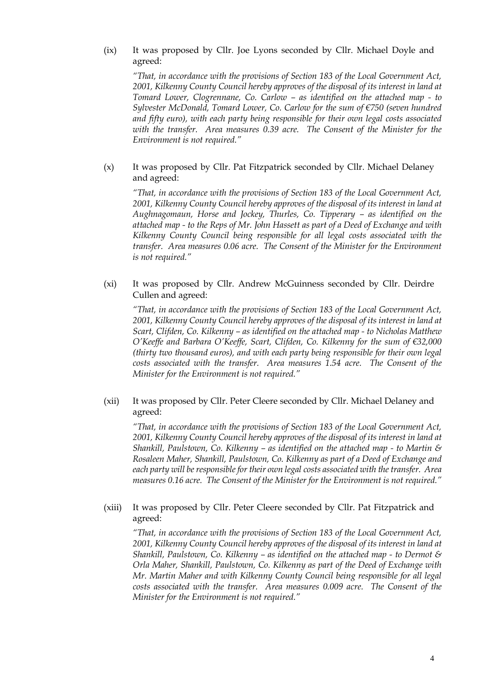(ix) It was proposed by Cllr. Joe Lyons seconded by Cllr. Michael Doyle and agreed:

*"That, in accordance with the provisions of Section 183 of the Local Government Act, 2001, Kilkenny County Council hereby approves of the disposal of its interest in land at Tomard Lower, Clogrennane, Co. Carlow – as identified on the attached map - to Sylvester McDonald, Tomard Lower, Co. Carlow for the sum of €750 (seven hundred and fifty euro), with each party being responsible for their own legal costs associated with the transfer. Area measures 0.39 acre. The Consent of the Minister for the Environment is not required."*

(x) It was proposed by Cllr. Pat Fitzpatrick seconded by Cllr. Michael Delaney and agreed:

*"That, in accordance with the provisions of Section 183 of the Local Government Act, 2001, Kilkenny County Council hereby approves of the disposal of its interest in land at Aughnagomaun, Horse and Jockey, Thurles, Co. Tipperary – as identified on the attached map - to the Reps of Mr. John Hassett as part of a Deed of Exchange and with Kilkenny County Council being responsible for all legal costs associated with the transfer. Area measures 0.06 acre. The Consent of the Minister for the Environment is not required."*

(xi) It was proposed by Cllr. Andrew McGuinness seconded by Cllr. Deirdre Cullen and agreed:

*"That, in accordance with the provisions of Section 183 of the Local Government Act, 2001, Kilkenny County Council hereby approves of the disposal of its interest in land at Scart, Clifden, Co. Kilkenny – as identified on the attached map - to Nicholas Matthew O'Keeffe and Barbara O'Keeffe, Scart, Clifden, Co. Kilkenny for the sum of €32,000 (thirty two thousand euros), and with each party being responsible for their own legal costs associated with the transfer. Area measures 1.54 acre. The Consent of the Minister for the Environment is not required."* 

(xii) It was proposed by Cllr. Peter Cleere seconded by Cllr. Michael Delaney and agreed:

*"That, in accordance with the provisions of Section 183 of the Local Government Act, 2001, Kilkenny County Council hereby approves of the disposal of its interest in land at Shankill, Paulstown, Co. Kilkenny – as identified on the attached map - to Martin & Rosaleen Maher, Shankill, Paulstown, Co. Kilkenny as part of a Deed of Exchange and each party will be responsible for their own legal costs associated with the transfer. Area measures 0.16 acre. The Consent of the Minister for the Environment is not required."*

(xiii) It was proposed by Cllr. Peter Cleere seconded by Cllr. Pat Fitzpatrick and agreed:

*"That, in accordance with the provisions of Section 183 of the Local Government Act, 2001, Kilkenny County Council hereby approves of the disposal of its interest in land at Shankill, Paulstown, Co. Kilkenny – as identified on the attached map - to Dermot & Orla Maher, Shankill, Paulstown, Co. Kilkenny as part of the Deed of Exchange with Mr. Martin Maher and with Kilkenny County Council being responsible for all legal costs associated with the transfer. Area measures 0.009 acre. The Consent of the Minister for the Environment is not required."*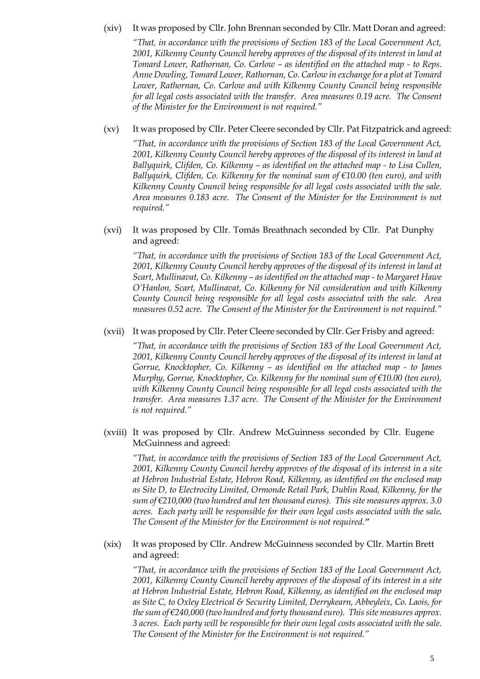## (xiv) It was proposed by Cllr. John Brennan seconded by Cllr. Matt Doran and agreed:

*"That, in accordance with the provisions of Section 183 of the Local Government Act, 2001, Kilkenny County Council hereby approves of the disposal of its interest in land at Tomard Lower, Rathornan, Co. Carlow – as identified on the attached map - to Reps. Anne Dowling, Tomard Lower, Rathornan, Co. Carlow in exchange for a plot at Tomard Lower, Rathornan, Co. Carlow and with Kilkenny County Council being responsible for all legal costs associated with the transfer. Area measures 0.19 acre. The Consent of the Minister for the Environment is not required."*

#### (xv) It was proposed by Cllr. Peter Cleere seconded by Cllr. Pat Fitzpatrick and agreed:

*"That, in accordance with the provisions of Section 183 of the Local Government Act, 2001, Kilkenny County Council hereby approves of the disposal of its interest in land at Ballyquirk, Clifden, Co. Kilkenny – as identified on the attached map - to Lisa Cullen, Ballyquirk, Clifden, Co. Kilkenny for the nominal sum of €10.00 (ten euro), and with Kilkenny County Council being responsible for all legal costs associated with the sale. Area measures 0.183 acre. The Consent of the Minister for the Environment is not required."*

(xvi) It was proposed by Cllr. Tomás Breathnach seconded by Cllr. Pat Dunphy and agreed:

*"That, in accordance with the provisions of Section 183 of the Local Government Act, 2001, Kilkenny County Council hereby approves of the disposal of its interest in land at Scart, Mullinavat, Co. Kilkenny – as identified on the attached map - to Margaret Hawe O'Hanlon, Scart, Mullinavat, Co. Kilkenny for Nil consideration and with Kilkenny County Council being responsible for all legal costs associated with the sale. Area measures 0.52 acre. The Consent of the Minister for the Environment is not required."*

#### (xvii) It was proposed by Cllr. Peter Cleere seconded by Cllr. Ger Frisby and agreed:

*"That, in accordance with the provisions of Section 183 of the Local Government Act, 2001, Kilkenny County Council hereby approves of the disposal of its interest in land at Gorrue, Knocktopher, Co. Kilkenny – as identified on the attached map - to James Murphy, Gorrue, Knocktopher, Co. Kilkenny for the nominal sum of €10.00 (ten euro), with Kilkenny County Council being responsible for all legal costs associated with the transfer. Area measures 1.37 acre. The Consent of the Minister for the Environment is not required."* 

(xviii) It was proposed by Cllr. Andrew McGuinness seconded by Cllr. Eugene McGuinness and agreed:

*"That, in accordance with the provisions of Section 183 of the Local Government Act, 2001, Kilkenny County Council hereby approves of the disposal of its interest in a site at Hebron Industrial Estate, Hebron Road, Kilkenny, as identified on the enclosed map as Site D, to Electrocity Limited, Ormonde Retail Park, Dublin Road, Kilkenny, for the sum of €210,000 (two hundred and ten thousand euros). This site measures approx. 3.0 acres. Each party will be responsible for their own legal costs associated with the sale. The Consent of the Minister for the Environment is not required."*

#### (xix) It was proposed by Cllr. Andrew McGuinness seconded by Cllr. Martin Brett and agreed:

*"That, in accordance with the provisions of Section 183 of the Local Government Act, 2001, Kilkenny County Council hereby approves of the disposal of its interest in a site at Hebron Industrial Estate, Hebron Road, Kilkenny, as identified on the enclosed map as Site C, to Oxley Electrical & Security Limited, Derrykearn, Abbeyleix, Co. Laois, for the sum of €240,000 (two hundred and forty thousand euro). This site measures approx. 3 acres. Each party will be responsible for their own legal costs associated with the sale. The Consent of the Minister for the Environment is not required."*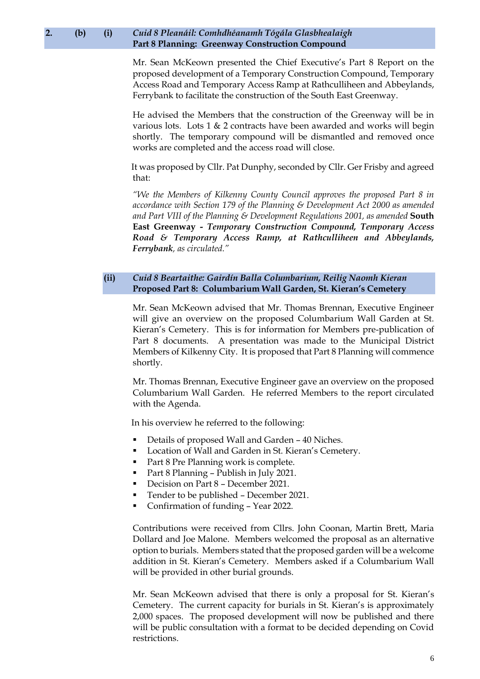#### **2. (b) (i)** *Cuid 8 Pleanáil: Comhdhéanamh Tógála Glasbhealaigh* **Part 8 Planning: Greenway Construction Compound**

Mr. Sean McKeown presented the Chief Executive's Part 8 Report on the proposed development of a Temporary Construction Compound, Temporary Access Road and Temporary Access Ramp at Rathculliheen and Abbeylands, Ferrybank to facilitate the construction of the South East Greenway.

He advised the Members that the construction of the Greenway will be in various lots. Lots 1 & 2 contracts have been awarded and works will begin shortly. The temporary compound will be dismantled and removed once works are completed and the access road will close.

It was proposed by Cllr. Pat Dunphy, seconded by Cllr. Ger Frisby and agreed that:

*"We the Members of Kilkenny County Council approves the proposed Part 8 in accordance with Section 179 of the Planning & Development Act 2000 as amended and Part VIII of the Planning & Development Regulations 2001, as amended* **South East Greenway -** *Temporary Construction Compound, Temporary Access Road & Temporary Access Ramp, at Rathculliheen and Abbeylands, Ferrybank, as circulated."*

## **(ii)** *Cuid 8 Beartaithe: Gairdín Balla Columbarium, Reilig Naomh Kieran* **Proposed Part 8: Columbarium Wall Garden, St. Kieran's Cemetery**

Mr. Sean McKeown advised that Mr. Thomas Brennan, Executive Engineer will give an overview on the proposed Columbarium Wall Garden at St. Kieran's Cemetery. This is for information for Members pre-publication of Part 8 documents. A presentation was made to the Municipal District Members of Kilkenny City. It is proposed that Part 8 Planning will commence shortly.

Mr. Thomas Brennan, Executive Engineer gave an overview on the proposed Columbarium Wall Garden. He referred Members to the report circulated with the Agenda.

In his overview he referred to the following:

- Details of proposed Wall and Garden 40 Niches.
- Location of Wall and Garden in St. Kieran's Cemetery.
- Part 8 Pre Planning work is complete.
- Part 8 Planning Publish in July 2021.
- Decision on Part 8 December 2021.
- Tender to be published December 2021.
- Confirmation of funding Year 2022.

Contributions were received from Cllrs. John Coonan, Martin Brett, Maria Dollard and Joe Malone. Members welcomed the proposal as an alternative option to burials. Members stated that the proposed garden will be a welcome addition in St. Kieran's Cemetery. Members asked if a Columbarium Wall will be provided in other burial grounds.

Mr. Sean McKeown advised that there is only a proposal for St. Kieran's Cemetery. The current capacity for burials in St. Kieran's is approximately 2,000 spaces. The proposed development will now be published and there will be public consultation with a format to be decided depending on Covid restrictions.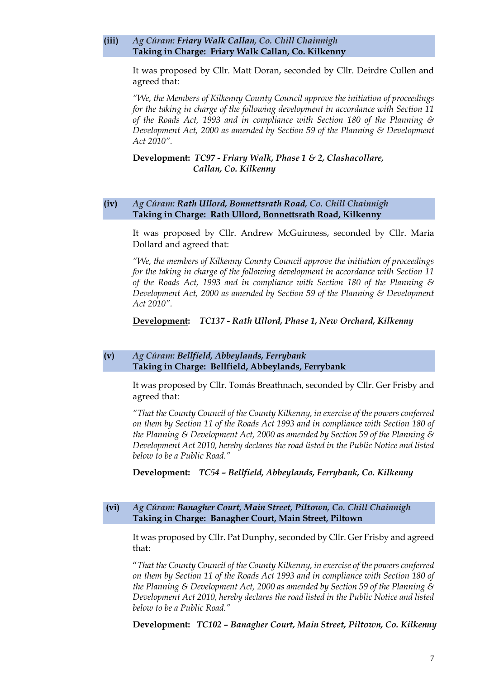#### **(iii)** *Ag Cúram: Friary Walk Callan, Co. Chill Chainnigh* **Taking in Charge: Friary Walk Callan, Co. Kilkenny**

It was proposed by Cllr. Matt Doran, seconded by Cllr. Deirdre Cullen and agreed that:

*"We, the Members of Kilkenny County Council approve the initiation of proceedings for the taking in charge of the following development in accordance with Section 11 of the Roads Act, 1993 and in compliance with Section 180 of the Planning & Development Act, 2000 as amended by Section 59 of the Planning & Development Act 2010".*

**Development:** *TC97 - Friary Walk, Phase 1 & 2, Clashacollare, Callan, Co. Kilkenny* 

#### **(iv)** *Ag Cúram: Rath Ullord, Bonnettsrath Road, Co. Chill Chainnigh* **Taking in Charge: Rath Ullord, Bonnettsrath Road, Kilkenny**

It was proposed by Cllr. Andrew McGuinness, seconded by Cllr. Maria Dollard and agreed that:

*"We, the members of Kilkenny County Council approve the initiation of proceedings for the taking in charge of the following development in accordance with Section 11 of the Roads Act, 1993 and in compliance with Section 180 of the Planning & Development Act, 2000 as amended by Section 59 of the Planning & Development Act 2010".*

#### **Development:** *TC137 - Rath Ullord, Phase 1, New Orchard, Kilkenny*

#### **(v)** *Ag Cúram: Bellfield, Abbeylands, Ferrybank* **Taking in Charge: Bellfield, Abbeylands, Ferrybank**

It was proposed by Cllr. Tomás Breathnach, seconded by Cllr. Ger Frisby and agreed that:

*"That the County Council of the County Kilkenny, in exercise of the powers conferred on them by Section 11 of the Roads Act 1993 and in compliance with Section 180 of the Planning & Development Act, 2000 as amended by Section 59 of the Planning & Development Act 2010, hereby declares the road listed in the Public Notice and listed below to be a Public Road."*

**Development:** *TC54 – Bellfield, Abbeylands, Ferrybank, Co. Kilkenny*

#### **(vi)** *Ag Cúram: Banagher Court, Main Street, Piltown, Co. Chill Chainnigh* **Taking in Charge: Banagher Court, Main Street, Piltown**

It was proposed by Cllr. Pat Dunphy, seconded by Cllr. Ger Frisby and agreed that:

"*That the County Council of the County Kilkenny, in exercise of the powers conferred on them by Section 11 of the Roads Act 1993 and in compliance with Section 180 of the Planning & Development Act, 2000 as amended by Section 59 of the Planning & Development Act 2010, hereby declares the road listed in the Public Notice and listed below to be a Public Road."*

**Development:** *TC102 – Banagher Court, Main Street, Piltown, Co. Kilkenny*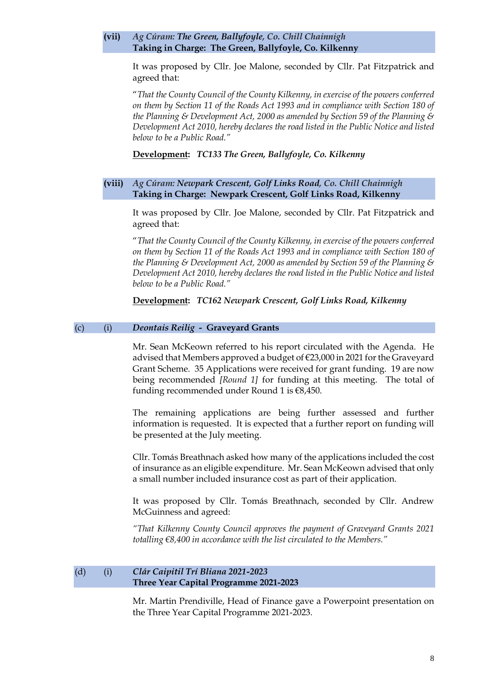#### **(vii)** *Ag Cúram: The Green, Ballyfoyle, Co. Chill Chainnigh* **Taking in Charge: The Green, Ballyfoyle, Co. Kilkenny**

It was proposed by Cllr. Joe Malone, seconded by Cllr. Pat Fitzpatrick and agreed that:

"*That the County Council of the County Kilkenny, in exercise of the powers conferred on them by Section 11 of the Roads Act 1993 and in compliance with Section 180 of the Planning & Development Act, 2000 as amended by Section 59 of the Planning & Development Act 2010, hereby declares the road listed in the Public Notice and listed below to be a Public Road."*

**Development:** *TC133 The Green, Ballyfoyle, Co. Kilkenny*

#### **(viii)** *Ag Cúram: Newpark Crescent, Golf Links Road, Co. Chill Chainnigh* **Taking in Charge: Newpark Crescent, Golf Links Road, Kilkenny**

It was proposed by Cllr. Joe Malone, seconded by Cllr. Pat Fitzpatrick and agreed that:

"*That the County Council of the County Kilkenny, in exercise of the powers conferred on them by Section 11 of the Roads Act 1993 and in compliance with Section 180 of the Planning & Development Act, 2000 as amended by Section 59 of the Planning & Development Act 2010, hereby declares the road listed in the Public Notice and listed below to be a Public Road."*

**Development:** *TC162 Newpark Crescent, Golf Links Road, Kilkenny*

#### (c) (i) *Deontais Reilig* **- Graveyard Grants**

Mr. Sean McKeown referred to his report circulated with the Agenda. He advised that Members approved a budget of €23,000 in 2021 for the Graveyard Grant Scheme. 35 Applications were received for grant funding. 19 are now being recommended *[Round 1]* for funding at this meeting. The total of funding recommended under Round 1 is €8,450.

The remaining applications are being further assessed and further information is requested. It is expected that a further report on funding will be presented at the July meeting.

Cllr. Tomás Breathnach asked how many of the applications included the cost of insurance as an eligible expenditure. Mr. Sean McKeown advised that only a small number included insurance cost as part of their application.

It was proposed by Cllr. Tomás Breathnach, seconded by Cllr. Andrew McGuinness and agreed:

*"That Kilkenny County Council approves the payment of Graveyard Grants 2021 totalling €8,400 in accordance with the list circulated to the Members."*

#### (d) (i) *Clár Caipitil Trí Bliana 2021-2023* **Three Year Capital Programme 2021-2023**

Mr. Martin Prendiville, Head of Finance gave a Powerpoint presentation on the Three Year Capital Programme 2021-2023.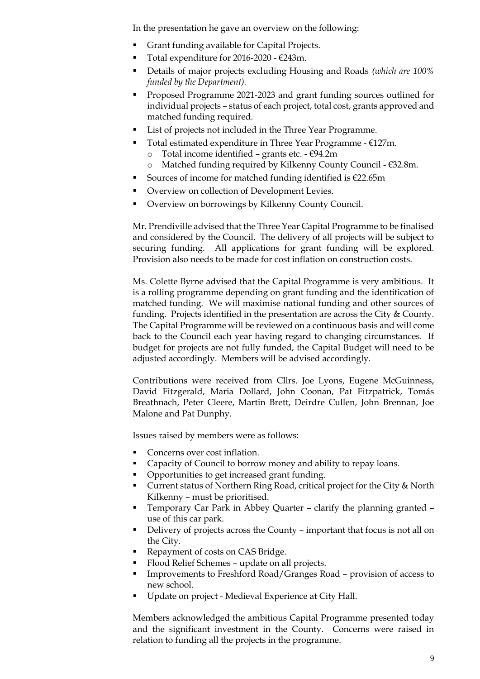In the presentation he gave an overview on the following:

- Grant funding available for Capital Projects.
- Total expenditure for 2016-2020  $€243m$ .
- Details of major projects excluding Housing and Roads *(which are 100% funded by the Department).*
- Proposed Programme 2021-2023 and grant funding sources outlined for individual projects – status of each project, total cost, grants approved and matched funding required.
- List of projects not included in the Three Year Programme.
- Total estimated expenditure in Three Year Programme  $E127m$ .
	- o Total income identified grants etc. €94.2m
	- o Matched funding required by Kilkenny County Council €32.8m.
- Sources of income for matched funding identified is  $€22.65m$
- Overview on collection of Development Levies.
- Overview on borrowings by Kilkenny County Council.

Mr. Prendiville advised that the Three Year Capital Programme to be finalised and considered by the Council. The delivery of all projects will be subject to securing funding. All applications for grant funding will be explored. Provision also needs to be made for cost inflation on construction costs.

Ms. Colette Byrne advised that the Capital Programme is very ambitious. It is a rolling programme depending on grant funding and the identification of matched funding. We will maximise national funding and other sources of funding. Projects identified in the presentation are across the City  $\&$  County. The Capital Programme will be reviewed on a continuous basis and will come back to the Council each year having regard to changing circumstances. If budget for projects are not fully funded, the Capital Budget will need to be adjusted accordingly. Members will be advised accordingly.

Contributions were received from Cllrs. Joe Lyons, Eugene McGuinness, David Fitzgerald, Maria Dollard, John Coonan, Pat Fitzpatrick, Tomás Breathnach, Peter Cleere, Martin Brett, Deirdre Cullen, John Brennan, Joe Malone and Pat Dunphy.

Issues raised by members were as follows:

- Concerns over cost inflation.
- Capacity of Council to borrow money and ability to repay loans.
- Opportunities to get increased grant funding.
- Current status of Northern Ring Road, critical project for the City & North Kilkenny – must be prioritised.
- Temporary Car Park in Abbey Quarter clarify the planning granted use of this car park.
- Delivery of projects across the County important that focus is not all on the City.
- Repayment of costs on CAS Bridge.
- Flood Relief Schemes update on all projects.
- Improvements to Freshford Road/Granges Road provision of access to new school.
- Update on project Medieval Experience at City Hall.

Members acknowledged the ambitious Capital Programme presented today and the significant investment in the County. Concerns were raised in relation to funding all the projects in the programme.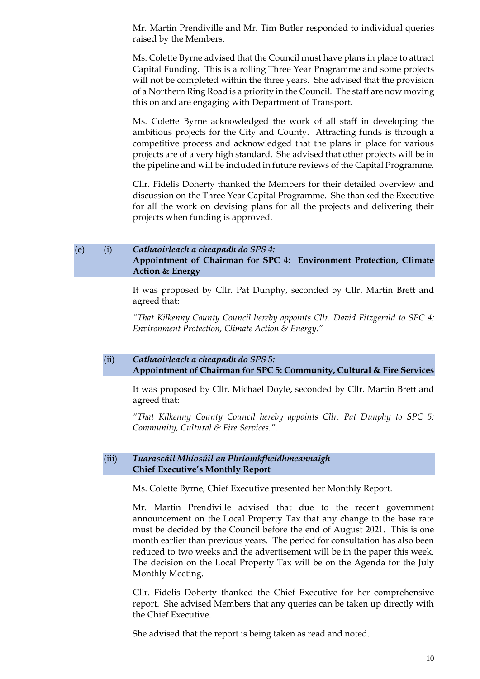Mr. Martin Prendiville and Mr. Tim Butler responded to individual queries raised by the Members.

Ms. Colette Byrne advised that the Council must have plans in place to attract Capital Funding. This is a rolling Three Year Programme and some projects will not be completed within the three years. She advised that the provision of a Northern Ring Road is a priority in the Council. The staff are now moving this on and are engaging with Department of Transport.

Ms. Colette Byrne acknowledged the work of all staff in developing the ambitious projects for the City and County. Attracting funds is through a competitive process and acknowledged that the plans in place for various projects are of a very high standard. She advised that other projects will be in the pipeline and will be included in future reviews of the Capital Programme.

Cllr. Fidelis Doherty thanked the Members for their detailed overview and discussion on the Three Year Capital Programme. She thanked the Executive for all the work on devising plans for all the projects and delivering their projects when funding is approved.

## (e) (i) *Cathaoirleach a cheapadh do SPS 4:* **Appointment of Chairman for SPC 4: Environment Protection, Climate Action & Energy**

It was proposed by Cllr. Pat Dunphy, seconded by Cllr. Martin Brett and agreed that:

*"That Kilkenny County Council hereby appoints Cllr. David Fitzgerald to SPC 4: Environment Protection, Climate Action & Energy."*

#### (ii) *Cathaoirleach a cheapadh do SPS 5:* **Appointment of Chairman for SPC 5: Community, Cultural & Fire Services**

It was proposed by Cllr. Michael Doyle, seconded by Cllr. Martin Brett and agreed that:

*"That Kilkenny County Council hereby appoints Cllr. Pat Dunphy to SPC 5: Community, Cultural & Fire Services.".*

#### (iii) *Tuarascáil Mhíosúil an Phríomhfheidhmeannaigh* **Chief Executive's Monthly Report**

Ms. Colette Byrne, Chief Executive presented her Monthly Report.

Mr. Martin Prendiville advised that due to the recent government announcement on the Local Property Tax that any change to the base rate must be decided by the Council before the end of August 2021. This is one month earlier than previous years. The period for consultation has also been reduced to two weeks and the advertisement will be in the paper this week. The decision on the Local Property Tax will be on the Agenda for the July Monthly Meeting.

Cllr. Fidelis Doherty thanked the Chief Executive for her comprehensive report. She advised Members that any queries can be taken up directly with the Chief Executive.

She advised that the report is being taken as read and noted.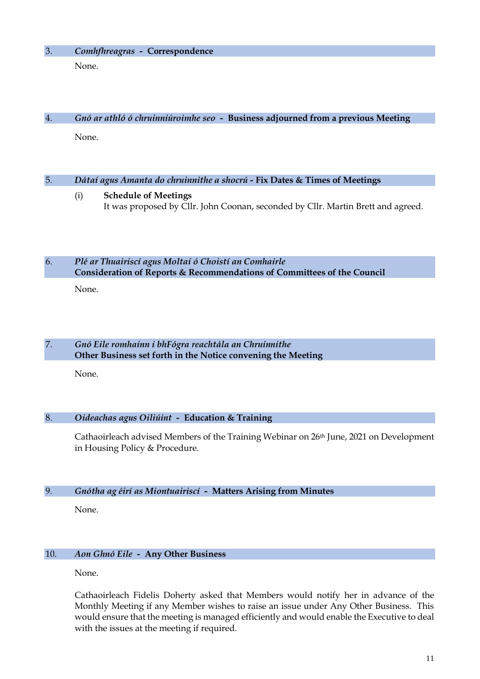## 3. *Comhfhreagras -* **Correspondence**

None.

# 4. *Gnó ar athló ó chruinniúroimhe seo -* **Business adjourned from a previous Meeting**

None.

# 5. *Dátaí agus Amanta do chruinnithe a shocrú -* **Fix Dates & Times of Meetings**

(i) **Schedule of Meetings** It was proposed by Cllr. John Coonan, seconded by Cllr. Martin Brett and agreed.

6. *Plé ar Thuairiscí agus Moltaí ó Choistí an Comhairle* **Consideration of Reports & Recommendations of Committees of the Council**

None.

## 7. *Gnó Eile romhainn i bhFógra reachtála an Chruinnithe* **Other Business set forth in the Notice convening the Meeting**

None.

## 8. *Oideachas agus Oiliúint -* **Education & Training**

Cathaoirleach advised Members of the Training Webinar on 26th June, 2021 on Development in Housing Policy & Procedure.

## 9. *Gnótha ag éirí as Miontuairiscí -* **Matters Arising from Minutes**

None.

## 10. *Aon Ghnó Eile -* **Any Other Business**

None.

Cathaoirleach Fidelis Doherty asked that Members would notify her in advance of the Monthly Meeting if any Member wishes to raise an issue under Any Other Business. This would ensure that the meeting is managed efficiently and would enable the Executive to deal with the issues at the meeting if required.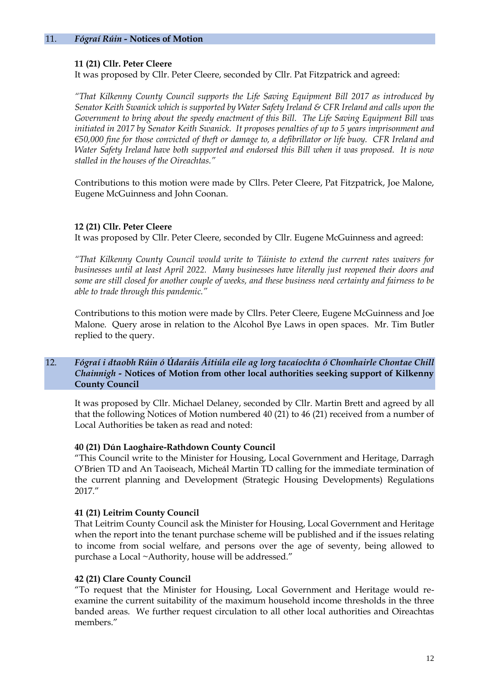## **11 (21) Cllr. Peter Cleere**

It was proposed by Cllr. Peter Cleere, seconded by Cllr. Pat Fitzpatrick and agreed:

*"That Kilkenny County Council supports the Life Saving Equipment Bill 2017 as introduced by Senator Keith Swanick which is supported by Water Safety Ireland & CFR Ireland and calls upon the Government to bring about the speedy enactment of this Bill. The Life Saving Equipment Bill was initiated in 2017 by Senator Keith Swanick. It proposes penalties of up to 5 years imprisonment and €50,000 fine for those convicted of theft or damage to, a defibrillator or life buoy. CFR Ireland and Water Safety Ireland have both supported and endorsed this Bill when it was proposed. It is now stalled in the houses of the Oireachtas."*

Contributions to this motion were made by Cllrs. Peter Cleere, Pat Fitzpatrick, Joe Malone, Eugene McGuinness and John Coonan.

## **12 (21) Cllr. Peter Cleere**

It was proposed by Cllr. Peter Cleere, seconded by Cllr. Eugene McGuinness and agreed:

*"That Kilkenny County Council would write to Táiniste to extend the current rates waivers for businesses until at least April 2022. Many businesses have literally just reopened their doors and some are still closed for another couple of weeks, and these business need certainty and fairness to be able to trade through this pandemic."*

Contributions to this motion were made by Cllrs. Peter Cleere, Eugene McGuinness and Joe Malone. Query arose in relation to the Alcohol Bye Laws in open spaces. Mr. Tim Butler replied to the query.

## 12. *Fógraí i dtaobh Rúin ó Údaráis Áitiúla eile ag lorg tacaíochta ó Chomhairle Chontae Chill Chainnigh -* **Notices of Motion from other local authorities seeking support of Kilkenny County Council**

It was proposed by Cllr. Michael Delaney, seconded by Cllr. Martin Brett and agreed by all that the following Notices of Motion numbered 40 (21) to 46 (21) received from a number of Local Authorities be taken as read and noted:

## **40 (21) Dún Laoghaire-Rathdown County Council**

"This Council write to the Minister for Housing, Local Government and Heritage, Darragh O'Brien TD and An Taoiseach, Micheál Martin TD calling for the immediate termination of the current planning and Development (Strategic Housing Developments) Regulations 2017."

## **41 (21) Leitrim County Council**

That Leitrim County Council ask the Minister for Housing, Local Government and Heritage when the report into the tenant purchase scheme will be published and if the issues relating to income from social welfare, and persons over the age of seventy, being allowed to purchase a Local ~Authority, house will be addressed."

## **42 (21) Clare County Council**

"To request that the Minister for Housing, Local Government and Heritage would reexamine the current suitability of the maximum household income thresholds in the three banded areas. We further request circulation to all other local authorities and Oireachtas members."